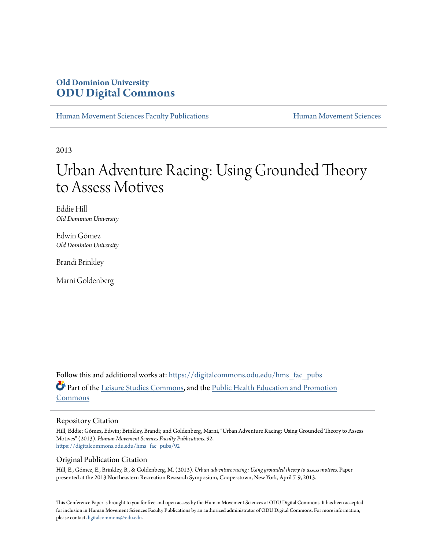## **Old Dominion University [ODU Digital Commons](https://digitalcommons.odu.edu/?utm_source=digitalcommons.odu.edu%2Fhms_fac_pubs%2F92&utm_medium=PDF&utm_campaign=PDFCoverPages)**

[Human Movement Sciences Faculty Publications](https://digitalcommons.odu.edu/hms_fac_pubs?utm_source=digitalcommons.odu.edu%2Fhms_fac_pubs%2F92&utm_medium=PDF&utm_campaign=PDFCoverPages) **[Human Movement Sciences](https://digitalcommons.odu.edu/humanmovementsci?utm_source=digitalcommons.odu.edu%2Fhms_fac_pubs%2F92&utm_medium=PDF&utm_campaign=PDFCoverPages)** Human Movement Sciences

2013

# Urban Adventure Racing: Using Grounded Theory to Assess Motives

Eddie Hill *Old Dominion University*

Edwin Gómez *Old Dominion University*

Brandi Brinkley

Marni Goldenberg

Follow this and additional works at: [https://digitalcommons.odu.edu/hms\\_fac\\_pubs](https://digitalcommons.odu.edu/hms_fac_pubs?utm_source=digitalcommons.odu.edu%2Fhms_fac_pubs%2F92&utm_medium=PDF&utm_campaign=PDFCoverPages) Part of the [Leisure Studies Commons,](http://network.bepress.com/hgg/discipline/1197?utm_source=digitalcommons.odu.edu%2Fhms_fac_pubs%2F92&utm_medium=PDF&utm_campaign=PDFCoverPages) and the [Public Health Education and Promotion](http://network.bepress.com/hgg/discipline/743?utm_source=digitalcommons.odu.edu%2Fhms_fac_pubs%2F92&utm_medium=PDF&utm_campaign=PDFCoverPages) [Commons](http://network.bepress.com/hgg/discipline/743?utm_source=digitalcommons.odu.edu%2Fhms_fac_pubs%2F92&utm_medium=PDF&utm_campaign=PDFCoverPages)

## Repository Citation

Hill, Eddie; Gómez, Edwin; Brinkley, Brandi; and Goldenberg, Marni, "Urban Adventure Racing: Using Grounded Theory to Assess Motives" (2013). *Human Movement Sciences Faculty Publications*. 92. [https://digitalcommons.odu.edu/hms\\_fac\\_pubs/92](https://digitalcommons.odu.edu/hms_fac_pubs/92?utm_source=digitalcommons.odu.edu%2Fhms_fac_pubs%2F92&utm_medium=PDF&utm_campaign=PDFCoverPages)

## Original Publication Citation

Hill, E., Gómez, E., Brinkley, B., & Goldenberg, M. (2013). *Urban adventure racing: Using grounded theory to assess motives.* Paper presented at the 2013 Northeastern Recreation Research Symposium, Cooperstown, New York, April 7-9, 2013.

This Conference Paper is brought to you for free and open access by the Human Movement Sciences at ODU Digital Commons. It has been accepted for inclusion in Human Movement Sciences Faculty Publications by an authorized administrator of ODU Digital Commons. For more information, please contact [digitalcommons@odu.edu](mailto:digitalcommons@odu.edu).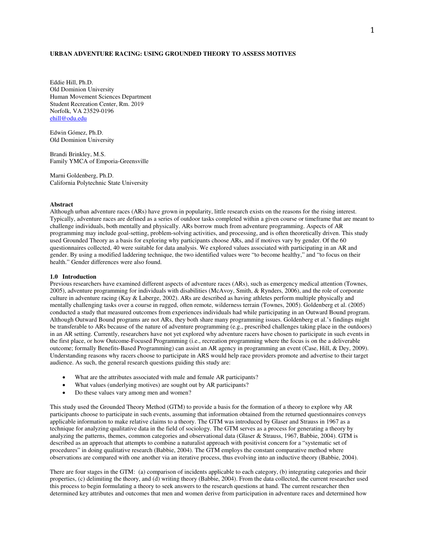## **URBAN ADVENTURE RACING: USING GROUNDED THEORY TO ASSESS MOTIVES**

Eddie Hill, Ph.D. Old Dominion University Human Movement Sciences Department Student Recreation Center, Rm. 2019 Norfolk, VA 23529-0196 ehill@odu.edu

Edwin Gómez, Ph.D. Old Dominion University

Brandi Brinkley, M.S. Family YMCA of Emporia-Greensville

Marni Goldenberg, Ph.D. California Polytechnic State University

#### **Abstract**

Although urban adventure races (ARs) have grown in popularity, little research exists on the reasons for the rising interest. Typically, adventure races are defined as a series of outdoor tasks completed within a given course or timeframe that are meant to challenge individuals, both mentally and physically. ARs borrow much from adventure programming. Aspects of AR programming may include goal-setting, problem-solving activities, and processing, and is often theoretically driven. This study used Grounded Theory as a basis for exploring why participants choose ARs, and if motives vary by gender. Of the 60 questionnaires collected, 40 were suitable for data analysis. We explored values associated with participating in an AR and gender. By using a modified laddering technique, the two identified values were "to become healthy," and "to focus on their health." Gender differences were also found.

#### **1.0 Introduction**

Previous researchers have examined different aspects of adventure races (ARs), such as emergency medical attention (Townes, 2005), adventure programming for individuals with disabilities (McAvoy, Smith, & Rynders, 2006), and the role of corporate culture in adventure racing (Kay & Laberge, 2002). ARs are described as having athletes perform multiple physically and mentally challenging tasks over a course in rugged, often remote, wilderness terrain (Townes, 2005). Goldenberg et al. (2005) conducted a study that measured outcomes from experiences individuals had while participating in an Outward Bound program. Although Outward Bound programs are not ARs, they both share many programming issues. Goldenberg et al.'s findings might be transferable to ARs because of the nature of adventure programming (e.g., prescribed challenges taking place in the outdoors) in an AR setting. Currently, researchers have not yet explored why adventure racers have chosen to participate in such events in the first place, or how Outcome-Focused Programming (i.e., recreation programming where the focus is on the a deliverable outcome; formally Benefits-Based Programming) can assist an AR agency in programming an event (Case, Hill, & Dey, 2009). Understanding reasons why racers choose to participate in ARS would help race providers promote and advertise to their target audience. As such, the general research questions guiding this study are:

- What are the attributes associated with male and female AR participants?
- What values (underlying motives) are sought out by AR participants?
- Do these values vary among men and women?

This study used the Grounded Theory Method (GTM) to provide a basis for the formation of a theory to explore why AR participants choose to participate in such events, assuming that information obtained from the returned questionnaires conveys applicable information to make relative claims to a theory. The GTM was introduced by Glaser and Strauss in 1967 as a technique for analyzing qualitative data in the field of sociology. The GTM serves as a process for generating a theory by analyzing the patterns, themes, common categories and observational data (Glaser & Strauss, 1967, Babbie, 2004). GTM is described as an approach that attempts to combine a naturalist approach with positivist concern for a "systematic set of procedures" in doing qualitative research (Babbie, 2004). The GTM employs the constant comparative method where observations are compared with one another via an iterative process, thus evolving into an inductive theory (Babbie, 2004).

There are four stages in the GTM: (a) comparison of incidents applicable to each category, (b) integrating categories and their properties, (c) delimiting the theory, and (d) writing theory (Babbie, 2004). From the data collected, the current researcher used this process to begin formulating a theory to seek answers to the research questions at hand. The current researcher then determined key attributes and outcomes that men and women derive from participation in adventure races and determined how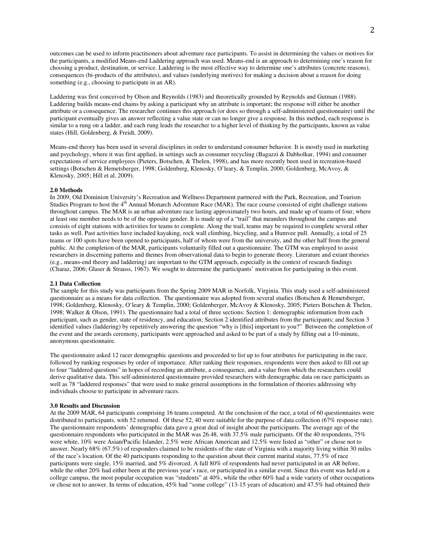outcomes can be used to inform practitioners about adventure race participants. To assist in determining the values or motives for the participants, a modified Means-end Laddering approach was used. Means-end is an approach to determining one's reason for choosing a product, destination, or service. Laddering is the most effective way to determine one's attributes (concrete reasons), consequences (bi-products of the attributes), and values (underlying motives) for making a decision about a reason for doing something (e.g., choosing to participate in an AR).

Laddering was first conceived by Olson and Reynolds (1983) and theoretically grounded by Reynolds and Gutman (1988). Laddering builds means-end chains by asking a participant why an attribute is important; the response will either be another attribute or a consequence. The researcher continues this approach (or does so through a self-administered questionnaire) until the participant eventually gives an answer reflecting a value state or can no longer give a response. In this method, each response is similar to a rung on a ladder, and each rung leads the researcher to a higher level of thinking by the participants, known as value states (Hill, Goldenberg, & Freidt, 2009).

Means-end theory has been used in several disciplines in order to understand consumer behavior. It is mostly used in marketing and psychology, where it was first applied, in settings such as consumer recycling (Bagazzi & Dabholkar, 1994) and consumer expectations of service employees (Pieters, Botschen, & Thelen, 1998), and has more recently been used in recreation-based settings (Botschen & Hemetsberger, 1998; Goldenberg, Klenosky, O'leary, & Templin, 2000; Goldenberg, McAvoy, & Klenosky, 2005; Hill et al, 2009).

#### **2.0 Methods**

In 2009, Old Dominion University's Recreation and Wellness Department partnered with the Park, Recreation, and Tourism Studies Program to host the 4<sup>th</sup> Annual Monarch Adventure Race (MAR). The race course consisted of eight challenge stations throughout campus. The MAR is an urban adventure race lasting approximately two hours, and made up of teams of four, where at least one member needs to be of the opposite gender. It is made up of a "trail" that meanders throughout the campus and consists of eight stations with activities for teams to complete. Along the trail, teams may be required to complete several other tasks as well. Past activities have included kayaking, rock wall climbing, bicycling, and a Humvee pull. Annually, a total of 25 teams or 100 spots have been opened to participants, half of whom were from the university, and the other half from the general public. At the completion of the MAR, participants voluntarily filled out a questionnaire. The GTM was employed to assist researchers in discerning patterns and themes from observational data to begin to generate theory. Literature and extant theories (e.g., means-end theory and laddering) are important to the GTM approach, especially in the context of research findings (Charaz, 2006; Glaser & Strauss, 1967). We sought to determine the participants' motivation for participating in this event.

#### **2.1 Data Collection**

The sample for this study was participants from the Spring 2009 MAR in Norfolk, Virginia. This study used a self-administered questionnaire as a means for data collection. The questionnaire was adopted from several studies (Botschen & Hemetsberger, 1998; Goldenberg, Klenosky, O'leary & Templin, 2000; Goldenberger, McAvoy & Klenosky, 2005; Pieters Botschen & Thelen, 1998; Walker & Olson, 1991). The questionnaire had a total of three sections: Section 1: demographic information from each participant, such as gender, state of residency, and education; Section 2 identified attributes from the participants; and Section 3 identified values (laddering) by repetitively answering the question "why is [this] important to you?" Between the completion of the event and the awards ceremony, participants were approached and asked to be part of a study by filling out a 10-minute, anonymous questionnaire.

The questionnaire asked 12 racer demographic questions and proceeded to list up to four attributes for participating in the race, followed by ranking responses by order of importance. After ranking their responses, respondents were then asked to fill out up to four "laddered questions" in hopes of recording an attribute, a consequence, and a value from which the researchers could derive qualitative data. This self-administered questionnaire provided researchers with demographic data on race participants as well as 78 "laddered responses" that were used to make general assumptions in the formulation of theories addressing why individuals choose to participate in adventure races.

#### **3.0 Results and Discussion**

At the 2009 MAR, 64 participants comprising 16 teams competed. At the conclusion of the race, a total of 60 questionnaires were distributed to participants, with 52 returned. Of these 52, 40 were suitable for the purpose of data collection (67% response rate). The questionnaire respondents' demographic data gave a great deal of insight about the participants. The average age of the questionnaire respondents who participated in the MAR was 26.48, with 37.5% male participants. Of the 40 respondents, 75% were white, 10% were Asian/Pacific Islander, 2.5% were African American and 12.5% were listed as "other" or chose not to answer. Nearly 68% (67.5%) of responders claimed to be residents of the state of Virginia with a majority living within 30 miles of the race's location. Of the 40 participants responding to the question about their current marital status, 77.5% of race participants were single, 15% married, and 5% divorced. A full 80% of respondents had never participated in an AR before, while the other 20% had either been at the previous year's race, or participated in a similar event. Since this event was held on a college campus, the most popular occupation was "students" at 40%, while the other 60% had a wide variety of other occupations or chose not to answer. In terms of education, 45% had "some college" (13-15 years of education) and 47.5% had obtained their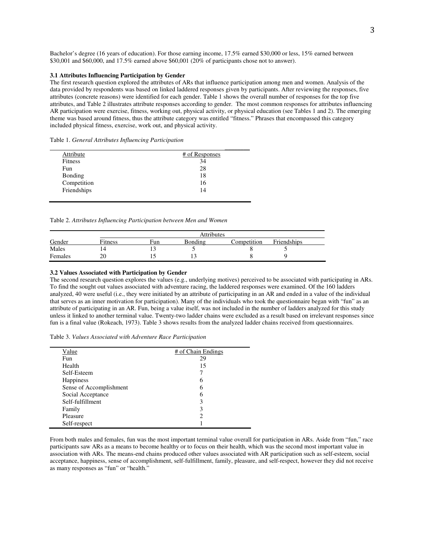Bachelor's degree (16 years of education). For those earning income, 17.5% earned \$30,000 or less, 15% earned between \$30,001 and \$60,000, and 17.5% earned above \$60,001 (20% of participants chose not to answer).

#### **3.1 Attributes Influencing Participation by Gender**

The first research question explored the attributes of ARs that influence participation among men and women. Analysis of the data provided by respondents was based on linked laddered responses given by participants. After reviewing the responses, five attributes (concrete reasons) were identified for each gender. Table 1 shows the overall number of responses for the top five attributes, and Table 2 illustrates attribute responses according to gender. The most common responses for attributes influencing AR participation were exercise, fitness, working out, physical activity, or physical education (see Tables 1 and 2). The emerging theme was based around fitness, thus the attribute category was entitled "fitness." Phrases that encompassed this category included physical fitness, exercise, work out, and physical activity.

| Table 1. General Attributes Influencing Participation |  |  |
|-------------------------------------------------------|--|--|
|                                                       |  |  |

| Attribute      | # of Responses |
|----------------|----------------|
| Fitness        | 34             |
| Fun            | 28             |
| <b>Bonding</b> | 18             |
| Competition    | 16             |
| Friendships    | 14             |

Table 2. *Attributes Influencing Participation between Men and Women*

|         |         | <b>Attributes</b> |         |             |             |  |
|---------|---------|-------------------|---------|-------------|-------------|--|
| Gender  | Fitness | Fun               | Bonding | Competition | Friendships |  |
| Males   |         |                   |         |             |             |  |
| Females | 20      |                   |         |             |             |  |

#### **3.2 Values Associated with Participation by Gender**

The second research question explores the values (e.g., underlying motives) perceived to be associated with participating in ARs. To find the sought out values associated with adventure racing, the laddered responses were examined. Of the 160 ladders analyzed, 40 were useful (i.e., they were initiated by an attribute of participating in an AR and ended in a value of the individual that serves as an inner motivation for participation). Many of the individuals who took the questionnaire began with "fun" as an attribute of participating in an AR. Fun, being a value itself, was not included in the number of ladders analyzed for this study unless it linked to another terminal value. Twenty-two ladder chains were excluded as a result based on irrelevant responses since fun is a final value (Rokeach, 1973). Table 3 shows results from the analyzed ladder chains received from questionnaires.

Table 3. *Values Associated with Adventure Race Participation*

| Value                   | # of Chain Endings |
|-------------------------|--------------------|
| <b>Fun</b>              | 29                 |
| Health                  | 15                 |
| Self-Esteem             |                    |
| <b>Happiness</b>        | 6                  |
| Sense of Accomplishment | 6                  |
| Social Acceptance       | 6                  |
| Self-fulfillment        | 3                  |
| Family                  | 3                  |
| Pleasure                | 2                  |
| Self-respect            |                    |

From both males and females, fun was the most important terminal value overall for participation in ARs. Aside from "fun," race participants saw ARs as a means to become healthy or to focus on their health, which was the second most important value in association with ARs. The means-end chains produced other values associated with AR participation such as self-esteem, social acceptance, happiness, sense of accomplishment, self-fulfillment, family, pleasure, and self-respect, however they did not receive as many responses as "fun" or "health."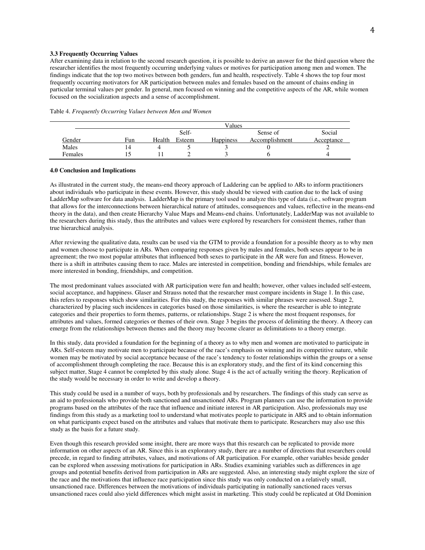### **3.3 Frequently Occurring Values**

After examining data in relation to the second research question, it is possible to derive an answer for the third question where the researcher identifies the most frequently occurring underlying values or motives for participation among men and women. The findings indicate that the top two motives between both genders, fun and health, respectively. Table 4 shows the top four most frequently occurring motivators for AR participation between males and females based on the amount of chains ending in particular terminal values per gender. In general, men focused on winning and the competitive aspects of the AR, while women focused on the socialization aspects and a sense of accomplishment.

|         | Values |        |        |                  |                |            |
|---------|--------|--------|--------|------------------|----------------|------------|
|         |        | Self-  |        | Sense of         | Social         |            |
| Gender  | Fun    | Health | Esteem | <b>Happiness</b> | Accomplishment | Acceptance |
| Males   | 14     |        |        |                  |                |            |
| Females |        |        |        |                  |                |            |

#### **4.0 Conclusion and Implications**

As illustrated in the current study, the means-end theory approach of Laddering can be applied to ARs to inform practitioners about individuals who participate in these events. However, this study should be viewed with caution due to the lack of using LadderMap software for data analysis. LadderMap is the primary tool used to analyze this type of data (i.e., software program that allows for the interconnections between hierarchical nature of attitudes, consequences and values, reflective in the means-end theory in the data), and then create Hierarchy Value Maps and Means-end chains. Unfortunately, LadderMap was not available to the researchers during this study, thus the attributes and values were explored by researchers for consistent themes, rather than true hierarchical analysis.

After reviewing the qualitative data, results can be used via the GTM to provide a foundation for a possible theory as to why men and women choose to participate in ARs. When comparing responses given by males and females, both sexes appear to be in agreement; the two most popular attributes that influenced both sexes to participate in the AR were fun and fitness. However, there is a shift in attributes causing them to race. Males are interested in competition, bonding and friendships, while females are more interested in bonding, friendships, and competition.

The most predominant values associated with AR participation were fun and health; however, other values included self-esteem, social acceptance, and happiness. Glaser and Strauss noted that the researcher must compare incidents in Stage 1. In this case, this refers to responses which show similarities. For this study, the responses with similar phrases were assessed. Stage 2, characterized by placing such incidences in categories based on those similarities, is where the researcher is able to integrate categories and their properties to form themes, patterns, or relationships. Stage 2 is where the most frequent responses, for attributes and values, formed categories or themes of their own. Stage 3 begins the process of delimiting the theory. A theory can emerge from the relationships between themes and the theory may become clearer as delimitations to a theory emerge.

In this study, data provided a foundation for the beginning of a theory as to why men and women are motivated to participate in ARs. Self-esteem may motivate men to participate because of the race's emphasis on winning and its competitive nature, while women may be motivated by social acceptance because of the race's tendency to foster relationships within the groups or a sense of accomplishment through completing the race. Because this is an exploratory study, and the first of its kind concerning this subject matter, Stage 4 cannot be completed by this study alone. Stage 4 is the act of actually writing the theory. Replication of the study would be necessary in order to write and develop a theory.

This study could be used in a number of ways, both by professionals and by researchers. The findings of this study can serve as an aid to professionals who provide both sanctioned and unsanctioned ARs. Program planners can use the information to provide programs based on the attributes of the race that influence and initiate interest in AR participation. Also, professionals may use findings from this study as a marketing tool to understand what motivates people to participate in ARS and to obtain information on what participants expect based on the attributes and values that motivate them to participate. Researchers may also use this study as the basis for a future study.

Even though this research provided some insight, there are more ways that this research can be replicated to provide more information on other aspects of an AR. Since this is an exploratory study, there are a number of directions that researchers could precede, in regard to finding attributes, values, and motivations of AR participation. For example, other variables beside gender can be explored when assessing motivations for participation in ARs. Studies examining variables such as differences in age groups and potential benefits derived from participation in ARs are suggested. Also, an interesting study might explore the size of the race and the motivations that influence race participation since this study was only conducted on a relatively small, unsanctioned race. Differences between the motivations of individuals participating in nationally sanctioned races versus unsanctioned races could also yield differences which might assist in marketing. This study could be replicated at Old Dominion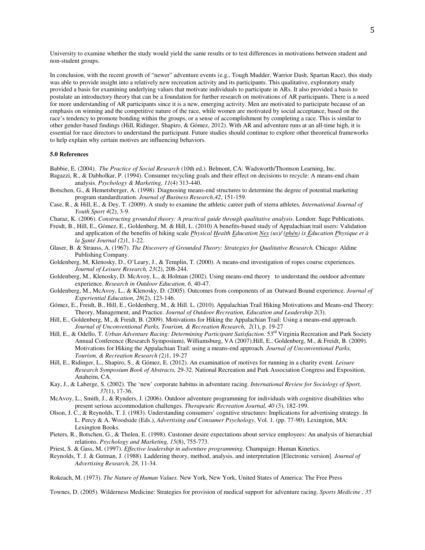University to examine whether the study would yield the same results or to test differences in motivations between student and non-student groups.

In conclusion, with the recent growth of "newer" adventure events (e.g., Tough Mudder, Warrior Dash, Spartan Race), this study was able to provide insight into a relatively new recreation activity and its participants. This qualitative, exploratory study provided a basis for examining underlying values that motivate individuals to participate in ARs. It also provided a basis to postulate an introductory theory that can be a foundation for further research on motivations of AR participants. There is a need for more understanding of AR participants since it is a new, emerging activity. Men are motivated to participate because of an emphasis on winning and the competitive nature of the race, while women are motivated by social acceptance, based on the race's tendency to promote bonding within the groups, or a sense of accomplishment by completing a race. This is similar to other gender-based findings (Hill, Ridinger, Shapiro, & Gómez, 2012). With AR and adventure runs at an all-time high, it is essential for race directors to understand the participant. Future studies should continue to explore other theoretical frameworks to help explain why certain motives are influencing behaviors.

#### **5.0 References**

Babbie, E. (2004). *The Practice of Social Research* (10th ed.). Belmont, CA: Wadsworth/Thomson Learning, Inc.

- Bagazzi, R., & Dabholkar, P. (1994). Consumer recycling goals and their effect on decisions to recycle: A means-end chain analysis. *Psychology & Marketing, 11*(4) 313-440.
- Botschen, G., & Hemetsberger, A. (1998). Diagnosing means-end structures to determine the degree of potential marketing program standardization. *Journal of Business Research*,*42*, 151-159.
- Case, R., & Hill, E., & Dey, T. (2009). A study to examine the athletic career path of xterra athletes. *International Journal of Youth Sport 4*(2), 3-9.
- Charaz, K. (2006). *Constructing grounded theory: A practical guide through qualitative analysis*. London: Sage Publications.
- Freidt, B., Hill, E., Gómez, E., Goldenberg, M. & Hill, L. (2010) A benefits-based study of Appalachian trail users: Validation and application of the benefits of hiking scale *Physical Health Education Nex (us)/ (phén) ix Éducation Physique et à la Santé Journal (*2*)*1, 1-22.
- Glaser, B. & Strauss, A. (1967). *The Discovery of Grounded Theory: Strategies for Qualitative Research.* Chicago: Aldine Publishing Company.
- Goldenberg, M, Klenosky, D., O'Leary, J., & Templin, T. (2000). A means-end investigation of ropes course experiences. *Journal of Leisure Research, 23*(2), 208-244.
- Goldenberg, M., Klenosky, D. McAvoy, L., & Holman (2002). Using means-end theory to understand the outdoor adventure experience. *Research in Outdoor Education, 6*, 40-47.
- Goldenberg, M., McAvoy, L., & Klenosky, D. (2005). Outcomes from components of an Outward Bound experience. *Journal of Experiential Education, 28*(2), 123-146.
- Gómez, E., Freidt, B., Hill, E., Goldenberg, M., & Hill. L. (2010). Appalachian Trail Hiking Motivations and Means-end Theory: Theory, Management, and Practice. *Journal of Outdoor Recreation, Education and Leadership 2*(3).
- Hill, E., Goldenberg, M., & Freidt, B. (2009). Motivations for Hiking the Appalachian Trail: Using a means-end approach. *Journal of Unconventional Parks, Tourism, & Recreation Research, 2*(1), p. 19-27
- Hill, E., & Odello, T. *Urban Adventure Racing: Determining Participant Satisfaction*. 53<sup>rd</sup> Virginia Recreation and Park Society Annual Conference (Research Symposium), Williamsburg, VA (2007).Hill, E., Goldenberg, M., & Freidt, B. (2009). Motivations for Hiking the Appalachian Trail: using a means-end approach. *Journal of Unconventional Parks, Tourism, & Recreation Research (*2*)*1, 19-27
- Hill, E., Ridinger, L., Shapiro, S., & Gómez, E. (2012). An examination of motives for running in a charity event*. Leisure Research Symposium Book of Abstracts,* 29-32. National Recreation and Park Association Congress and Exposition, Anaheim, CA.
- Kay, J., & Laberge, S. (2002). The 'new' corporate habitus in adventure racing. *International Review for Sociology of Sport, 37*(1), 17-36.
- McAvoy, L., Smith, J., & Rynders, J. (2006). Outdoor adventure programming for individuals with cognitive disabilities who present serious accommodation challenges. *Therapeutic Recreation Journal, 40* (3), 182-199.
- Olson, J. C., & Reynolds, T. J. (1983). Understanding consumers' cognitive structures: Implications for advertising strategy. In L. Percy & A. Woodside (Eds.), *Advertising and Consumer Psychology*, Vol. 1. (pp. 77-90). Lexington, MA: Lexington Books.
- Pieters, R., Botschen, G., & Thelen, E. (1998). Customer desire expectations about service employees: An analysis of hierarchial relations. *Psychology and Marketing, 15*(8), 755-773.
- Priest, S. & Gass, M. (1997). *Effective leadership in adventure programming.* Champaign: Human Kinetics.
- Reynolds, T. J. & Gutman, J. (1988). Laddering theory, method, analysis, and interpretation [Electronic version]. *Journal of Advertising Research, 28*, 11-34.
- Rokeach, M. (1973). *The Nature of Human Values.* New York, New York, United States of America: The Free Press

Townes, D. (2005). Wilderness Medicine: Strategies for provision of medical support for adventure racing. *Sports Medicine , 35*